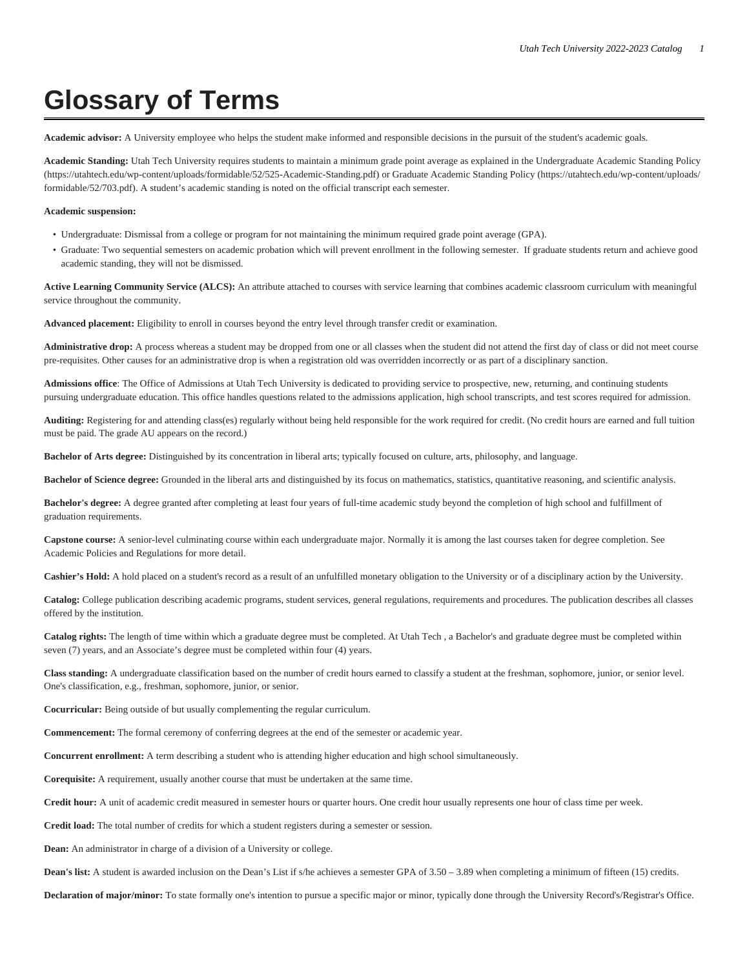## **Glossary of Terms**

**Academic advisor:** A University employee who helps the student make informed and responsible decisions in the pursuit of the student's academic goals.

**Academic Standing:** Utah Tech University requires students to maintain a minimum grade point average as explained in the [Undergraduate Academic Standing Policy](https://utahtech.edu/wp-content/uploads/formidable/52/525-Academic-Standing.pdf) ([https://utahtech.edu/wp-content/uploads/formidable/52/525-Academic-Standing.pdf\)](https://utahtech.edu/wp-content/uploads/formidable/52/525-Academic-Standing.pdf) or [Graduate Academic Standing Policy \(https://utahtech.edu/wp-content/uploads/](https://utahtech.edu/wp-content/uploads/formidable/52/703.pdf) [formidable/52/703.pdf](https://utahtech.edu/wp-content/uploads/formidable/52/703.pdf)). A student's academic standing is noted on the official transcript each semester.

## **Academic suspension:**

- Undergraduate: Dismissal from a college or program for not maintaining the minimum required grade point average (GPA).
- Graduate: Two sequential semesters on academic probation which will prevent enrollment in the following semester. If graduate students return and achieve good academic standing, they will not be dismissed.

**Active Learning Community Service (ALCS):** An attribute attached to courses with service learning that combines academic classroom curriculum with meaningful service throughout the community.

**Advanced placement:** Eligibility to enroll in courses beyond the entry level through transfer credit or examination.

**Administrative drop:** A process whereas a student may be dropped from one or all classes when the student did not attend the first day of class or did not meet course pre-requisites. Other causes for an administrative drop is when a registration old was overridden incorrectly or as part of a disciplinary sanction.

**Admissions office**: The Office of Admissions at Utah Tech University is dedicated to providing service to prospective, new, returning, and continuing students pursuing undergraduate education. This office handles questions related to the admissions application, high school transcripts, and test scores required for admission.

**Auditing:** Registering for and attending class(es) regularly without being held responsible for the work required for credit. (No credit hours are earned and full tuition must be paid. The grade AU appears on the record.)

**Bachelor of Arts degree:** Distinguished by its concentration in liberal arts; typically focused on culture, arts, philosophy, and language.

**Bachelor of Science degree:** Grounded in the liberal arts and distinguished by its focus on mathematics, statistics, quantitative reasoning, and scientific analysis.

**Bachelor's degree:** A degree granted after completing at least four years of full-time academic study beyond the completion of high school and fulfillment of graduation requirements.

**Capstone course:** A senior-level culminating course within each undergraduate major. Normally it is among the last courses taken for degree completion. See Academic Policies and Regulations for more detail.

**Cashier's Hold:** A hold placed on a student's record as a result of an unfulfilled monetary obligation to the University or of a disciplinary action by the University.

**Catalog:** College publication describing academic programs, student services, general regulations, requirements and procedures. The publication describes all classes offered by the institution.

**Catalog rights:** The length of time within which a graduate degree must be completed. At Utah Tech , a Bachelor's and graduate degree must be completed within seven (7) years, and an Associate's degree must be completed within four (4) years.

**Class standing:** A undergraduate classification based on the number of credit hours earned to classify a student at the freshman, sophomore, junior, or senior level. One's classification, e.g., freshman, sophomore, junior, or senior.

**Cocurricular:** Being outside of but usually complementing the regular curriculum.

**Commencement:** The formal ceremony of conferring degrees at the end of the semester or academic year.

**Concurrent enrollment:** A term describing a student who is attending higher education and high school simultaneously.

**Corequisite:** A requirement, usually another course that must be undertaken at the same time.

**Credit hour:** A unit of academic credit measured in semester hours or quarter hours. One credit hour usually represents one hour of class time per week.

**Credit load:** The total number of credits for which a student registers during a semester or session.

**Dean:** An administrator in charge of a division of a University or college.

**Dean's list:** A student is awarded inclusion on the Dean's List if s/he achieves a semester GPA of 3.50 – 3.89 when completing a minimum of fifteen (15) credits.

Declaration of major/minor: To state formally one's intention to pursue a specific major or minor, typically done through the University Record's/Registrar's Office.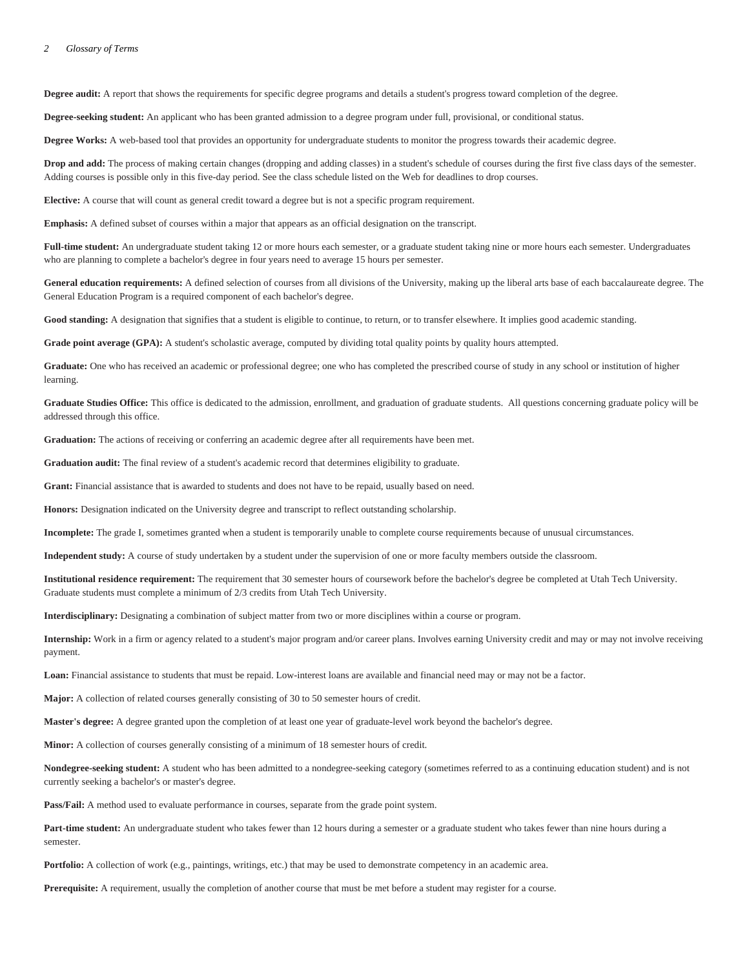**Degree audit:** A report that shows the requirements for specific degree programs and details a student's progress toward completion of the degree.

**Degree-seeking student:** An applicant who has been granted admission to a degree program under full, provisional, or conditional status.

**Degree Works:** A web-based tool that provides an opportunity for undergraduate students to monitor the progress towards their academic degree.

**Drop and add:** The process of making certain changes (dropping and adding classes) in a student's schedule of courses during the first five class days of the semester. Adding courses is possible only in this five-day period. See the class schedule listed on the Web for deadlines to drop courses.

**Elective:** A course that will count as general credit toward a degree but is not a specific program requirement.

**Emphasis:** A defined subset of courses within a major that appears as an official designation on the transcript.

**Full-time student:** An undergraduate student taking 12 or more hours each semester, or a graduate student taking nine or more hours each semester. Undergraduates who are planning to complete a bachelor's degree in four years need to average 15 hours per semester.

General education requirements: A defined selection of courses from all divisions of the University, making up the liberal arts base of each baccalaureate degree. The General Education Program is a required component of each bachelor's degree.

Good standing: A designation that signifies that a student is eligible to continue, to return, or to transfer elsewhere. It implies good academic standing.

**Grade point average (GPA):** A student's scholastic average, computed by dividing total quality points by quality hours attempted.

**Graduate:** One who has received an academic or professional degree; one who has completed the prescribed course of study in any school or institution of higher learning.

Graduate Studies Office: This office is dedicated to the admission, enrollment, and graduation of graduate students. All questions concerning graduate policy will be addressed through this office.

**Graduation:** The actions of receiving or conferring an academic degree after all requirements have been met.

**Graduation audit:** The final review of a student's academic record that determines eligibility to graduate.

Grant: Financial assistance that is awarded to students and does not have to be repaid, usually based on need.

**Honors:** Designation indicated on the University degree and transcript to reflect outstanding scholarship.

**Incomplete:** The grade I, sometimes granted when a student is temporarily unable to complete course requirements because of unusual circumstances.

**Independent study:** A course of study undertaken by a student under the supervision of one or more faculty members outside the classroom.

**Institutional residence requirement:** The requirement that 30 semester hours of coursework before the bachelor's degree be completed at Utah Tech University. Graduate students must complete a minimum of 2/3 credits from Utah Tech University.

**Interdisciplinary:** Designating a combination of subject matter from two or more disciplines within a course or program.

**Internship:** Work in a firm or agency related to a student's major program and/or career plans. Involves earning University credit and may or may not involve receiving payment.

**Loan:** Financial assistance to students that must be repaid. Low-interest loans are available and financial need may or may not be a factor.

**Major:** A collection of related courses generally consisting of 30 to 50 semester hours of credit.

**Master's degree:** A degree granted upon the completion of at least one year of graduate-level work beyond the bachelor's degree.

**Minor:** A collection of courses generally consisting of a minimum of 18 semester hours of credit.

**Nondegree-seeking student:** A student who has been admitted to a nondegree-seeking category (sometimes referred to as a continuing education student) and is not currently seeking a bachelor's or master's degree.

Pass/Fail: A method used to evaluate performance in courses, separate from the grade point system.

Part-time student: An undergraduate student who takes fewer than 12 hours during a semester or a graduate student who takes fewer than nine hours during a semester.

**Portfolio:** A collection of work (e.g., paintings, writings, etc.) that may be used to demonstrate competency in an academic area.

**Prerequisite:** A requirement, usually the completion of another course that must be met before a student may register for a course.